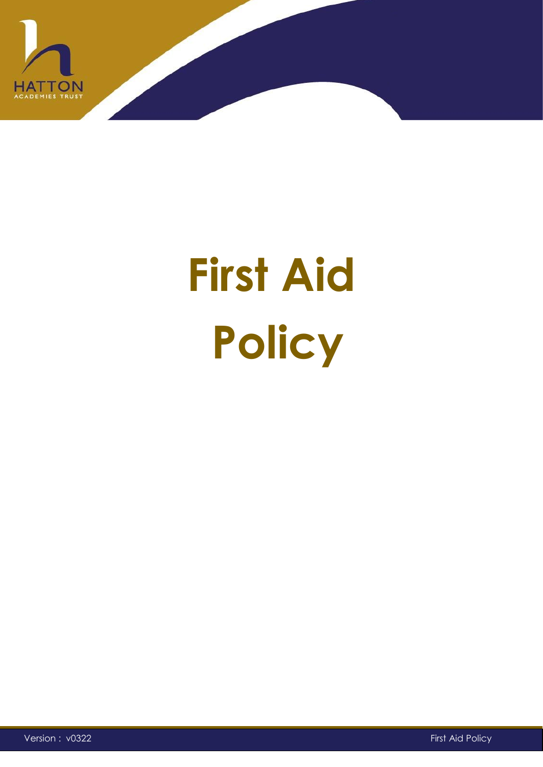

# **First Aid Policy**

Version : v0322 First Aid Policy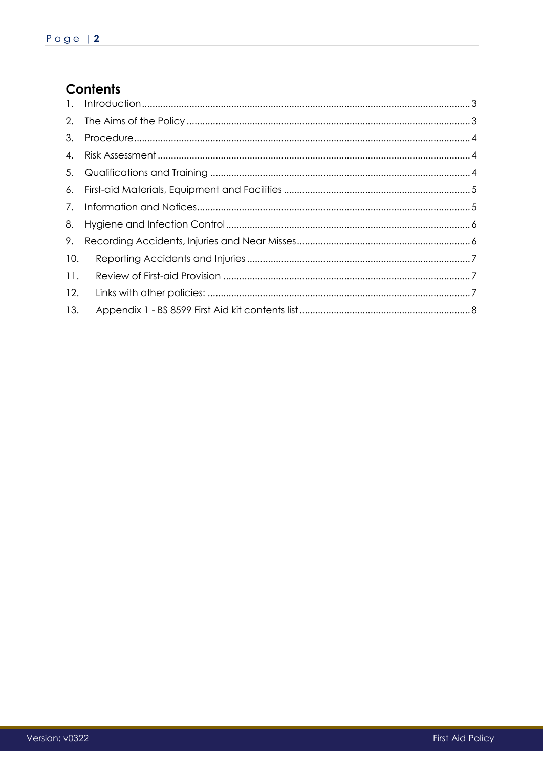# Contents

| 7.  |  |
|-----|--|
| 8.  |  |
| 9.  |  |
| 10. |  |
| 11. |  |
| 12. |  |
| 13. |  |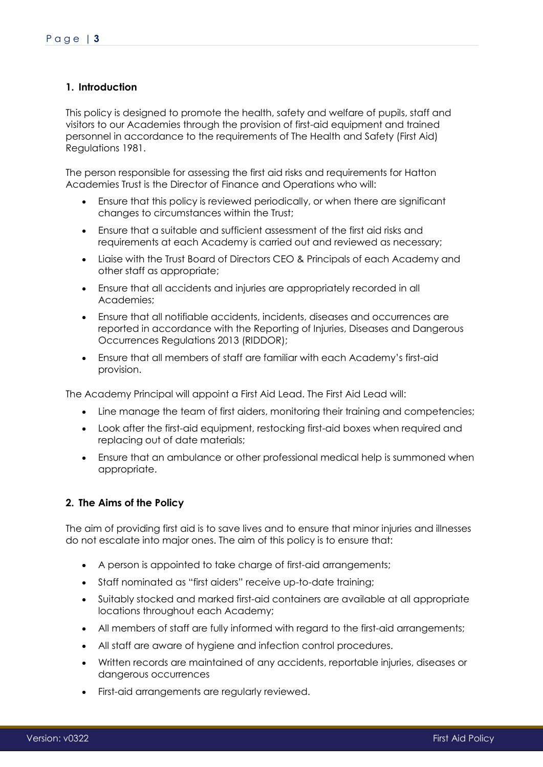# <span id="page-2-0"></span>**1. Introduction**

This policy is designed to promote the health, safety and welfare of pupils, staff and visitors to our Academies through the provision of first-aid equipment and trained personnel in accordance to the requirements of The Health and Safety (First Aid) Regulations 1981.

The person responsible for assessing the first aid risks and requirements for Hatton Academies Trust is the Director of Finance and Operations who will:

- Ensure that this policy is reviewed periodically, or when there are significant changes to circumstances within the Trust;
- Ensure that a suitable and sufficient assessment of the first aid risks and requirements at each Academy is carried out and reviewed as necessary;
- Liaise with the Trust Board of Directors CEO & Principals of each Academy and other staff as appropriate;
- Ensure that all accidents and injuries are appropriately recorded in all Academies;
- Ensure that all notifiable accidents, incidents, diseases and occurrences are reported in accordance with the Reporting of Injuries, Diseases and Dangerous Occurrences Regulations 2013 (RIDDOR);
- Ensure that all members of staff are familiar with each Academy's first-aid provision.

The Academy Principal will appoint a First Aid Lead. The First Aid Lead will:

- Line manage the team of first aiders, monitoring their training and competencies;
- Look after the first-aid equipment, restocking first-aid boxes when required and replacing out of date materials;
- Ensure that an ambulance or other professional medical help is summoned when appropriate.

#### <span id="page-2-1"></span>**2. The Aims of the Policy**

The aim of providing first aid is to save lives and to ensure that minor injuries and illnesses do not escalate into major ones. The aim of this policy is to ensure that:

- A person is appointed to take charge of first-aid arrangements;
- Staff nominated as "first aiders" receive up-to-date training;
- Suitably stocked and marked first-aid containers are available at all appropriate locations throughout each Academy;
- All members of staff are fully informed with regard to the first-aid arrangements;
- All staff are aware of hygiene and infection control procedures.
- Written records are maintained of any accidents, reportable injuries, diseases or dangerous occurrences
- First-aid arrangements are regularly reviewed.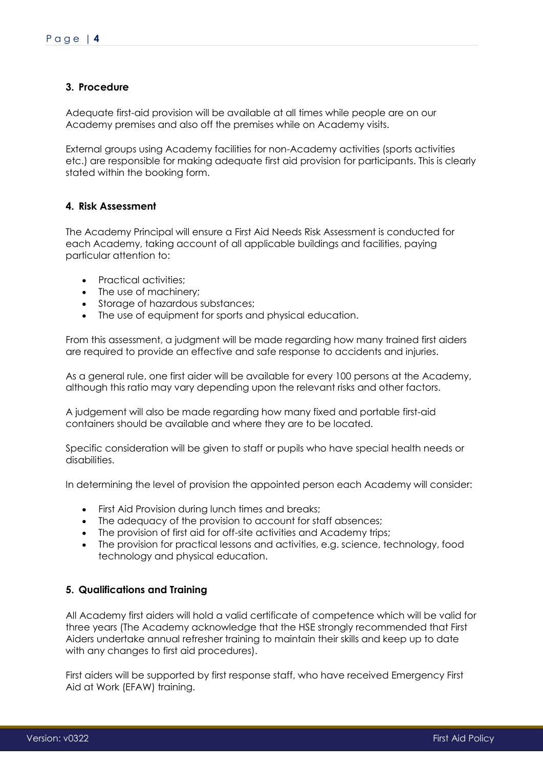# <span id="page-3-0"></span>**3. Procedure**

Adequate first-aid provision will be available at all times while people are on our Academy premises and also off the premises while on Academy visits.

External groups using Academy facilities for non-Academy activities (sports activities etc.) are responsible for making adequate first aid provision for participants. This is clearly stated within the booking form.

# <span id="page-3-1"></span>**4. Risk Assessment**

The Academy Principal will ensure a First Aid Needs Risk Assessment is conducted for each Academy, taking account of all applicable buildings and facilities, paying particular attention to:

- Practical activities;
- The use of machinery:
- Storage of hazardous substances;
- The use of equipment for sports and physical education.

From this assessment, a judgment will be made regarding how many trained first aiders are required to provide an effective and safe response to accidents and injuries.

As a general rule, one first aider will be available for every 100 persons at the Academy, although this ratio may vary depending upon the relevant risks and other factors.

A judgement will also be made regarding how many fixed and portable first-aid containers should be available and where they are to be located.

Specific consideration will be given to staff or pupils who have special health needs or disabilities.

In determining the level of provision the appointed person each Academy will consider:

- First Aid Provision during lunch times and breaks;
- The adequacy of the provision to account for staff absences;
- The provision of first aid for off-site activities and Academy trips;
- The provision for practical lessons and activities, e.g. science, technology, food technology and physical education.

#### <span id="page-3-2"></span>**5. Qualifications and Training**

All Academy first aiders will hold a valid certificate of competence which will be valid for three years (The Academy acknowledge that the HSE strongly recommended that First Aiders undertake annual refresher training to maintain their skills and keep up to date with any changes to first aid procedures).

First aiders will be supported by first response staff, who have received Emergency First Aid at Work (EFAW) training.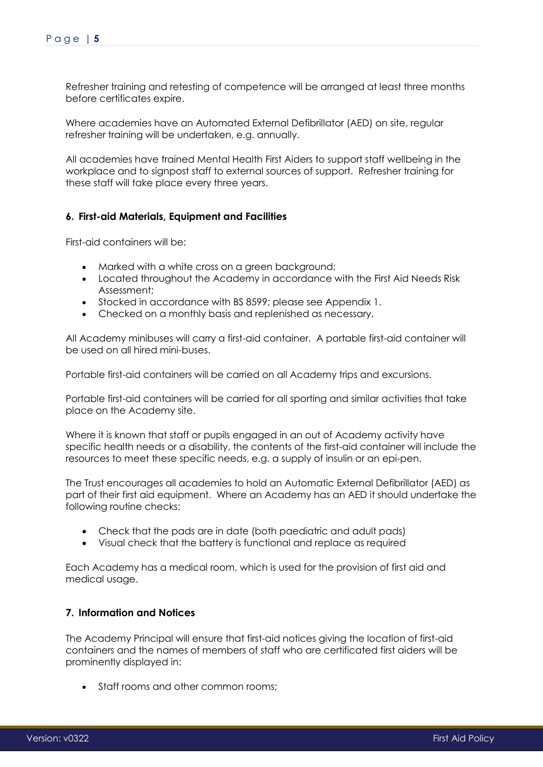Refresher training and retesting of competence will be arranged at least three months before certificates expire.

Where academies have an Automated External Defibrillator (AED) on site, regular refresher training will be undertaken, e.g. annually.

All academies have trained Mental Health First Aiders to support staff wellbeing in the workplace and to signpost staff to external sources of support. Refresher training for these staff will take place every three years.

### <span id="page-4-0"></span>**6. First-aid Materials, Equipment and Facilities**

First-aid containers will be:

- Marked with a white cross on a green background;
- Located throughout the Academy in accordance with the First Aid Needs Risk Assessment;
- Stocked in accordance with BS 8599; please see Appendix 1.
- Checked on a monthly basis and replenished as necessary.

All Academy minibuses will carry a first-aid container. A portable first-aid container will be used on all hired mini-buses.

Portable first-aid containers will be carried on all Academy trips and excursions.

Portable first-aid containers will be carried for all sporting and similar activities that take place on the Academy site.

Where it is known that staff or pupils engaged in an out of Academy activity have specific health needs or a disability, the contents of the first-aid container will include the resources to meet these specific needs, e.g. a supply of insulin or an epi-pen.

The Trust encourages all academies to hold an Automatic External Defibrillator (AED) as part of their first aid equipment. Where an Academy has an AED it should undertake the following routine checks:

- Check that the pads are in date (both paediatric and adult pads)
- Visual check that the battery is functional and replace as required

Each Academy has a medical room, which is used for the provision of first aid and medical usage.

# <span id="page-4-1"></span>**7. Information and Notices**

The Academy Principal will ensure that first-aid notices giving the location of first-aid containers and the names of members of staff who are certificated first aiders will be prominently displayed in:

• Staff rooms and other common rooms: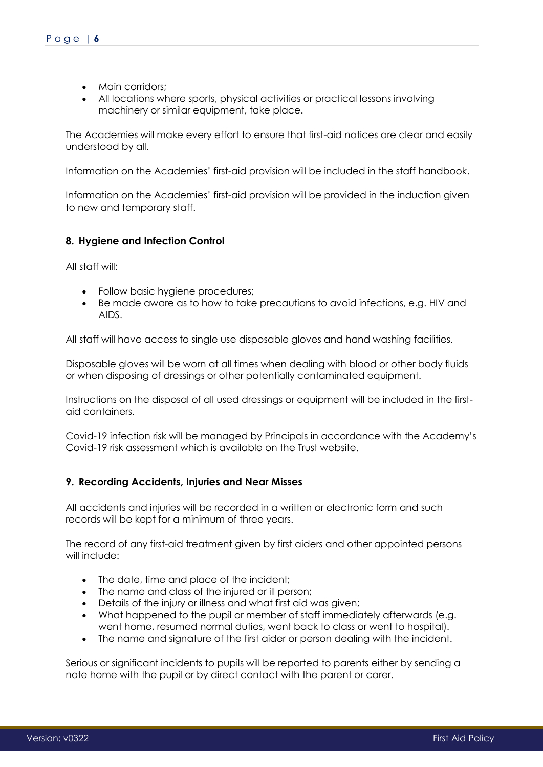- Main corridors:
- All locations where sports, physical activities or practical lessons involving machinery or similar equipment, take place.

The Academies will make every effort to ensure that first-aid notices are clear and easily understood by all.

Information on the Academies' first-aid provision will be included in the staff handbook.

Information on the Academies' first-aid provision will be provided in the induction given to new and temporary staff.

# <span id="page-5-0"></span>**8. Hygiene and Infection Control**

All staff will:

- Follow basic hygiene procedures;
- Be made aware as to how to take precautions to avoid infections, e.g. HIV and AIDS.

All staff will have access to single use disposable gloves and hand washing facilities.

Disposable gloves will be worn at all times when dealing with blood or other body fluids or when disposing of dressings or other potentially contaminated equipment.

Instructions on the disposal of all used dressings or equipment will be included in the firstaid containers.

Covid-19 infection risk will be managed by Principals in accordance with the Academy's Covid-19 risk assessment which is available on the Trust website.

#### <span id="page-5-1"></span>**9. Recording Accidents, Injuries and Near Misses**

All accidents and injuries will be recorded in a written or electronic form and such records will be kept for a minimum of three years.

The record of any first-aid treatment given by first aiders and other appointed persons will include:

- The date, time and place of the incident;
- The name and class of the injured or ill person;
- Details of the injury or illness and what first aid was aiven;
- What happened to the pupil or member of staff immediately afterwards (e.g. went home, resumed normal duties, went back to class or went to hospital).
- The name and signature of the first aider or person dealing with the incident.

Serious or significant incidents to pupils will be reported to parents either by sending a note home with the pupil or by direct contact with the parent or carer.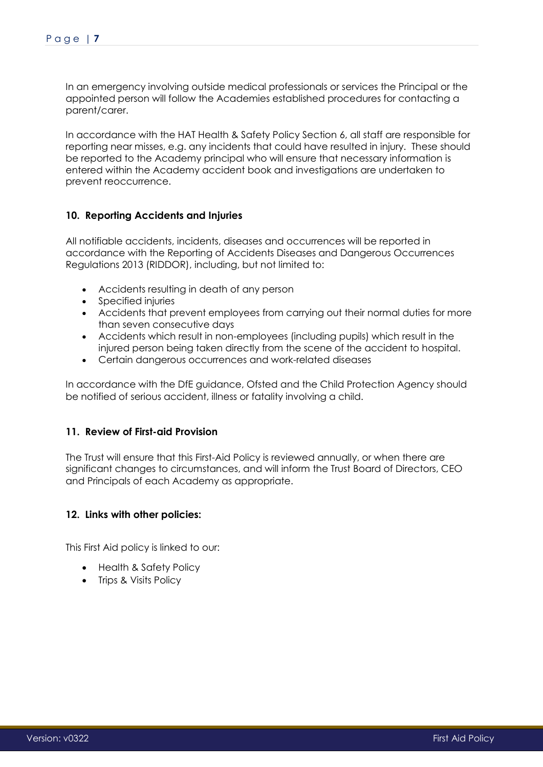In an emergency involving outside medical professionals or services the Principal or the appointed person will follow the Academies established procedures for contacting a parent/carer.

In accordance with the HAT Health & Safety Policy Section 6, all staff are responsible for reporting near misses, e.g. any incidents that could have resulted in injury. These should be reported to the Academy principal who will ensure that necessary information is entered within the Academy accident book and investigations are undertaken to prevent reoccurrence.

### <span id="page-6-0"></span>**10. Reporting Accidents and Injuries**

All notifiable accidents, incidents, diseases and occurrences will be reported in accordance with the Reporting of Accidents Diseases and Dangerous Occurrences Regulations 2013 (RIDDOR), including, but not limited to:

- Accidents resulting in death of any person
- Specified injuries
- Accidents that prevent employees from carrying out their normal duties for more than seven consecutive days
- Accidents which result in non-employees (including pupils) which result in the injured person being taken directly from the scene of the accident to hospital.
- Certain dangerous occurrences and work-related diseases

In accordance with the DfE guidance, Ofsted and the Child Protection Agency should be notified of serious accident, illness or fatality involving a child.

#### <span id="page-6-1"></span>**11. Review of First-aid Provision**

The Trust will ensure that this First-Aid Policy is reviewed annually, or when there are significant changes to circumstances, and will inform the Trust Board of Directors, CEO and Principals of each Academy as appropriate.

#### <span id="page-6-2"></span>**12. Links with other policies:**

This First Aid policy is linked to our:

- Health & Safety Policy
- Trips & Visits Policy